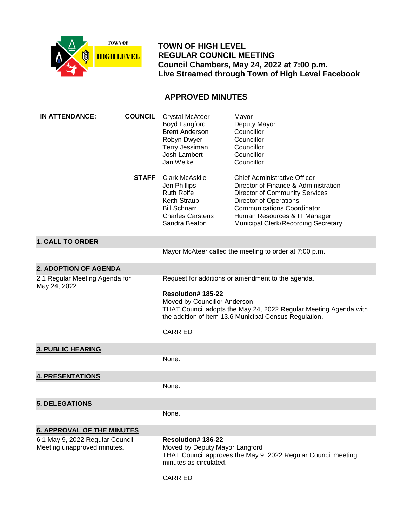

 **TOWN OF HIGH LEVEL REGULAR COUNCIL MEETING Council Chambers, May 24, 2022 at 7:00 p.m. Live Streamed through Town of High Level Facebook**

# **APPROVED MINUTES**

| <b>IN ATTENDANCE:</b>                                          | <b>COUNCIL</b> | <b>Crystal McAteer</b><br>Boyd Langford<br><b>Brent Anderson</b><br>Robyn Dwyer<br>Terry Jessiman<br><b>Josh Lambert</b><br>Jan Welke                                            | Mayor<br>Deputy Mayor<br>Councillor<br>Councillor<br>Councillor<br>Councillor<br>Councillor                                                                                                                                                                       |
|----------------------------------------------------------------|----------------|----------------------------------------------------------------------------------------------------------------------------------------------------------------------------------|-------------------------------------------------------------------------------------------------------------------------------------------------------------------------------------------------------------------------------------------------------------------|
|                                                                | <u>STAFF</u>   | <b>Clark McAskile</b><br>Jeri Phillips<br><b>Ruth Rolfe</b><br>Keith Straub<br><b>Bill Schnarr</b><br><b>Charles Carstens</b><br>Sandra Beaton                                   | <b>Chief Administrative Officer</b><br>Director of Finance & Administration<br><b>Director of Community Services</b><br><b>Director of Operations</b><br><b>Communications Coordinator</b><br>Human Resources & IT Manager<br>Municipal Clerk/Recording Secretary |
| <b>1. CALL TO ORDER</b>                                        |                |                                                                                                                                                                                  |                                                                                                                                                                                                                                                                   |
|                                                                |                |                                                                                                                                                                                  | Mayor McAteer called the meeting to order at 7:00 p.m.                                                                                                                                                                                                            |
| 2. ADOPTION OF AGENDA                                          |                |                                                                                                                                                                                  |                                                                                                                                                                                                                                                                   |
| 2.1 Regular Meeting Agenda for<br>May 24, 2022                 |                | Request for additions or amendment to the agenda.                                                                                                                                |                                                                                                                                                                                                                                                                   |
|                                                                |                | Resolution# 185-22<br>Moved by Councillor Anderson<br>THAT Council adopts the May 24, 2022 Regular Meeting Agenda with<br>the addition of item 13.6 Municipal Census Regulation. |                                                                                                                                                                                                                                                                   |
|                                                                |                | <b>CARRIED</b>                                                                                                                                                                   |                                                                                                                                                                                                                                                                   |
| <b>3. PUBLIC HEARING</b>                                       |                |                                                                                                                                                                                  |                                                                                                                                                                                                                                                                   |
|                                                                |                | None.                                                                                                                                                                            |                                                                                                                                                                                                                                                                   |
| <b>4. PRESENTATIONS</b>                                        |                |                                                                                                                                                                                  |                                                                                                                                                                                                                                                                   |
|                                                                |                | None.                                                                                                                                                                            |                                                                                                                                                                                                                                                                   |
| <b>5. DELEGATIONS</b>                                          |                |                                                                                                                                                                                  |                                                                                                                                                                                                                                                                   |
|                                                                |                | None.                                                                                                                                                                            |                                                                                                                                                                                                                                                                   |
| <b>6. APPROVAL OF THE MINUTES</b>                              |                |                                                                                                                                                                                  |                                                                                                                                                                                                                                                                   |
| 6.1 May 9, 2022 Regular Council<br>Meeting unapproved minutes. |                | <b>Resolution#186-22</b><br>Moved by Deputy Mayor Langford<br>THAT Council approves the May 9, 2022 Regular Council meeting<br>minutes as circulated.                            |                                                                                                                                                                                                                                                                   |
|                                                                |                |                                                                                                                                                                                  |                                                                                                                                                                                                                                                                   |

CARRIED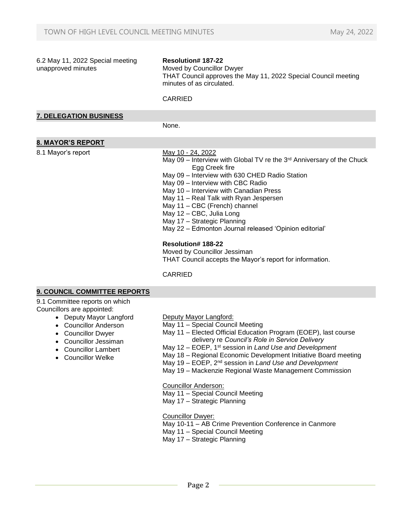| 6.2 May 11, 2022 Special meeting<br>unapproved minutes                                                                                      | <b>Resolution#187-22</b><br>Moved by Councillor Dwyer<br>THAT Council approves the May 11, 2022 Special Council meeting<br>minutes of as circulated.<br><b>CARRIED</b>                                                                                                                                                                                                                                                                                                                                                                                                                  |
|---------------------------------------------------------------------------------------------------------------------------------------------|-----------------------------------------------------------------------------------------------------------------------------------------------------------------------------------------------------------------------------------------------------------------------------------------------------------------------------------------------------------------------------------------------------------------------------------------------------------------------------------------------------------------------------------------------------------------------------------------|
| <b>7. DELEGATION BUSINESS</b>                                                                                                               |                                                                                                                                                                                                                                                                                                                                                                                                                                                                                                                                                                                         |
|                                                                                                                                             | None.                                                                                                                                                                                                                                                                                                                                                                                                                                                                                                                                                                                   |
| <b>8. MAYOR'S REPORT</b>                                                                                                                    |                                                                                                                                                                                                                                                                                                                                                                                                                                                                                                                                                                                         |
| 8.1 Mayor's report                                                                                                                          | May 10 - 24, 2022<br>May 09 - Interview with Global TV re the 3rd Anniversary of the Chuck<br>Egg Creek fire<br>May 09 - Interview with 630 CHED Radio Station<br>May 09 - Interview with CBC Radio<br>May 10 - Interview with Canadian Press<br>May 11 - Real Talk with Ryan Jespersen<br>May 11 - CBC (French) channel<br>May 12 - CBC, Julia Long<br>May 17 - Strategic Planning<br>May 22 - Edmonton Journal released 'Opinion editorial'<br><b>Resolution#188-22</b><br>Moved by Councillor Jessiman<br>THAT Council accepts the Mayor's report for information.<br><b>CARRIED</b> |
| <b>9. COUNCIL COMMITTEE REPORTS</b>                                                                                                         |                                                                                                                                                                                                                                                                                                                                                                                                                                                                                                                                                                                         |
| 9.1 Committee reports on which<br>Councillors are appointed:<br>• Deputy Mayor Langford<br>• Councillor Anderson<br><b>Councillor Dwyer</b> | Deputy Mayor Langford:<br>May 11 - Special Council Meeting<br>May 11 - Elected Official Education Program (EOEP), last course                                                                                                                                                                                                                                                                                                                                                                                                                                                           |

- Councillor Jessiman
- Councillor Lambert
- Councillor Welke
- May 11 Elected Official Education Program (EOEP), last course delivery re *Council's Role in Service Delivery*
- May 12 EOEP, 1st session in *Land Use and Development*
- May 18 Regional Economic Development Initiative Board meeting
- May 19 EOEP, 2nd session in *Land Use and Development*
- May 19 Mackenzie Regional Waste Management Commission

Councillor Anderson:

- May 11 Special Council Meeting
- May 17 Strategic Planning

Councillor Dwyer:

May 10-11 – AB Crime Prevention Conference in Canmore

May 11 – Special Council Meeting

May 17 – Strategic Planning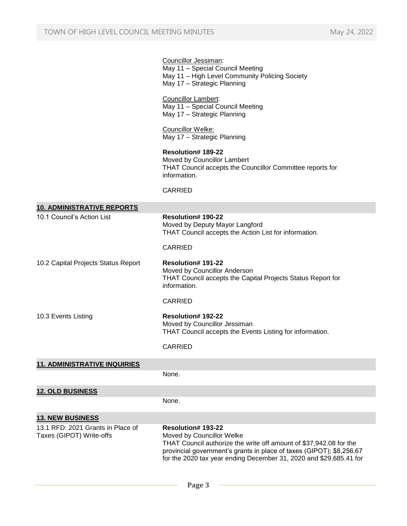|                                                               | Councillor Jessiman:<br>May 11 - Special Council Meeting<br>May 11 - High Level Community Policing Society<br>May 17 - Strategic Planning                                                                                                                                  |
|---------------------------------------------------------------|----------------------------------------------------------------------------------------------------------------------------------------------------------------------------------------------------------------------------------------------------------------------------|
|                                                               | <b>Councillor Lambert:</b><br>May 11 - Special Council Meeting<br>May 17 - Strategic Planning                                                                                                                                                                              |
|                                                               | Councillor Welke:<br>May 17 - Strategic Planning                                                                                                                                                                                                                           |
|                                                               | <b>Resolution#189-22</b><br>Moved by Councillor Lambert<br>THAT Council accepts the Councillor Committee reports for<br>information.                                                                                                                                       |
|                                                               | <b>CARRIED</b>                                                                                                                                                                                                                                                             |
| <b>10. ADMINISTRATIVE REPORTS</b>                             |                                                                                                                                                                                                                                                                            |
| 10.1 Council's Action List                                    | Resolution# 190-22<br>Moved by Deputy Mayor Langford<br>THAT Council accepts the Action List for information.                                                                                                                                                              |
|                                                               | <b>CARRIED</b>                                                                                                                                                                                                                                                             |
| 10.2 Capital Projects Status Report                           | <b>Resolution# 191-22</b><br>Moved by Councillor Anderson<br>THAT Council accepts the Capital Projects Status Report for<br>information.                                                                                                                                   |
|                                                               | <b>CARRIED</b>                                                                                                                                                                                                                                                             |
| 10.3 Events Listing                                           | <b>Resolution# 192-22</b><br>Moved by Councillor Jessiman<br>THAT Council accepts the Events Listing for information.                                                                                                                                                      |
|                                                               | <b>CARRIED</b>                                                                                                                                                                                                                                                             |
| <b>11. ADMINISTRATIVE INQUIRIES</b>                           |                                                                                                                                                                                                                                                                            |
|                                                               | None.                                                                                                                                                                                                                                                                      |
| <b>12. OLD BUSINESS</b>                                       |                                                                                                                                                                                                                                                                            |
|                                                               | None.                                                                                                                                                                                                                                                                      |
| <b>13. NEW BUSINESS</b>                                       |                                                                                                                                                                                                                                                                            |
| 13.1 RFD: 2021 Grants in Place of<br>Taxes (GIPOT) Write-offs | <b>Resolution# 193-22</b><br>Moved by Councillor Welke<br>THAT Council authorize the write off amount of \$37,942.08 for the<br>provincial government's grants in place of taxes (GIPOT); \$8,256.67<br>for the 2020 tax year ending December 31, 2020 and \$29,685.41 for |
|                                                               |                                                                                                                                                                                                                                                                            |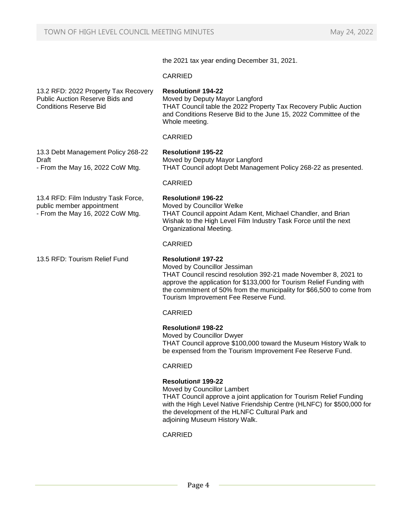the 2021 tax year ending December 31, 2021.

## CARRIED

## 13.2 RFD: 2022 Property Tax Recovery Public Auction Reserve Bids and Conditions Reserve Bid

## **Resolution# 194-22**

Moved by Deputy Mayor Langford THAT Council table the 2022 Property Tax Recovery Public Auction and Conditions Reserve Bid to the June 15, 2022 Committee of the Whole meeting.

## CARRIED

## **Resolution# 195-22**

**Resolution# 196-22** Moved by Councillor Welke

Moved by Deputy Mayor Langford THAT Council adopt Debt Management Policy 268-22 as presented.

THAT Council appoint Adam Kent, Michael Chandler, and Brian Wishak to the High Level Film Industry Task Force until the next

## CARRIED

CARRIED

13.4 RFD: Film Industry Task Force, public member appointment - From the May 16, 2022 CoW Mtg.

13.3 Debt Management Policy 268-22

- From the May 16, 2022 CoW Mtg.

Draft

13.5 RFD: Tourism Relief Fund **Resolution# 197-22**

Organizational Meeting.

Moved by Councillor Jessiman THAT Council rescind resolution 392-21 made November 8, 2021 to approve the application for \$133,000 for Tourism Relief Funding with the commitment of 50% from the municipality for \$66,500 to come from Tourism Improvement Fee Reserve Fund.

## **CARRIED**

## **Resolution# 198-22**

Moved by Councillor Dwyer THAT Council approve \$100,000 toward the Museum History Walk to be expensed from the Tourism Improvement Fee Reserve Fund.

## CARRIED

## **Resolution# 199-22**

Moved by Councillor Lambert THAT Council approve a joint application for Tourism Relief Funding with the High Level Native Friendship Centre (HLNFC) for \$500,000 for the development of the HLNFC Cultural Park and adjoining Museum History Walk.

CARRIED